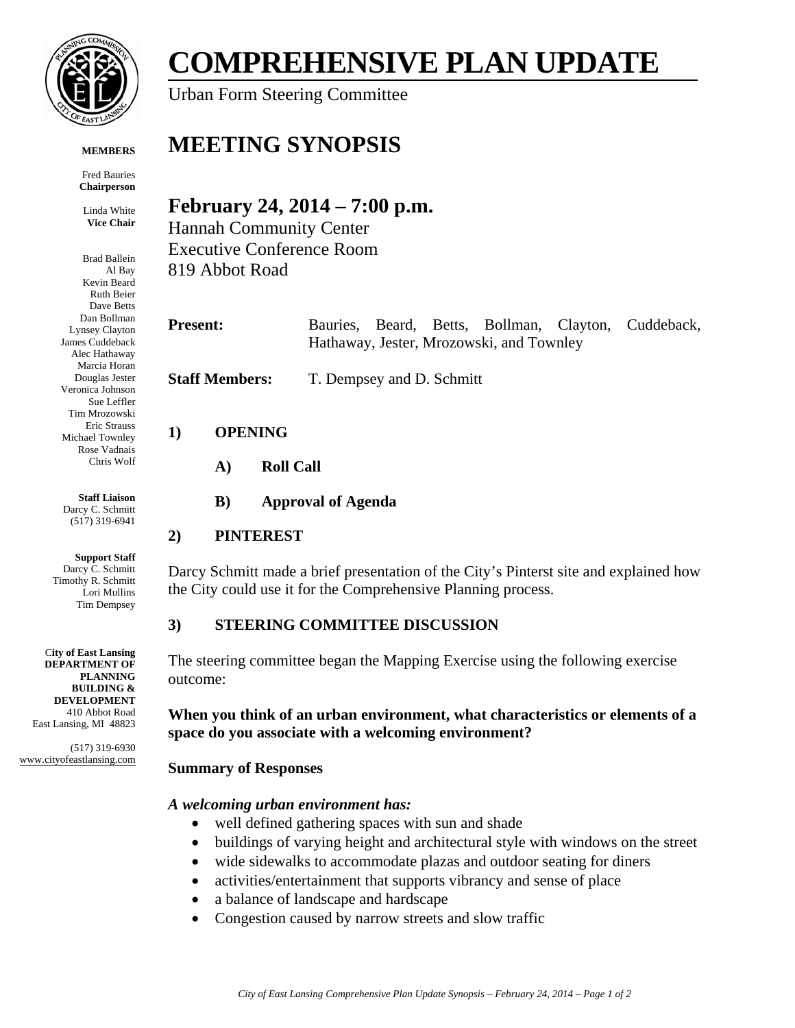

**MEMBERS**

Fred Bauries **Chairperson**

Linda White **Vice Chair**

Brad Ballein Al Bay Kevin Beard Ruth Beier Dave Betts Dan Bollman Lynsey Clayton James Cuddeback Alec Hathaway Marcia Horan Douglas Jester Veronica Johnson Sue Leffler Tim Mrozowski Eric Strauss Michael Townley Rose Vadnais Chris Wolf

**Staff Liaison** Darcy C. Schmitt (517) 319-6941

**Support Staff** Darcy C. Schmitt Timothy R. Schmitt Lori Mullins Tim Dempsey

C**ity of East Lansing DEPARTMENT OF PLANNING BUILDING & DEVELOPMENT** 410 Abbot Road East Lansing, MI 48823

(517) 319-6930 www.cityofeastlansing.com

# **COMPREHENSIVE PLAN UPDATE**

Urban Form Steering Committee

# **MEETING SYNOPSIS**

# **February 24, 2014 – 7:00 p.m.**

Hannah Community Center Executive Conference Room 819 Abbot Road

| <b>Present:</b> |                                          |  |  |  |  | Bauries, Beard, Betts, Bollman, Clayton, Cuddeback, |
|-----------------|------------------------------------------|--|--|--|--|-----------------------------------------------------|
|                 | Hathaway, Jester, Mrozowski, and Townley |  |  |  |  |                                                     |
|                 |                                          |  |  |  |  |                                                     |

**Staff Members:** T. Dempsey and D. Schmitt

# **1) OPENING**

**A) Roll Call** 

# **B) Approval of Agenda**

# **2) PINTEREST**

Darcy Schmitt made a brief presentation of the City's Pinterst site and explained how the City could use it for the Comprehensive Planning process.

# **3) STEERING COMMITTEE DISCUSSION**

The steering committee began the Mapping Exercise using the following exercise outcome:

## **When you think of an urban environment, what characteristics or elements of a space do you associate with a welcoming environment?**

# **Summary of Responses**

## *A welcoming urban environment has:*

- well defined gathering spaces with sun and shade
- buildings of varying height and architectural style with windows on the street
- wide sidewalks to accommodate plazas and outdoor seating for diners
- activities/entertainment that supports vibrancy and sense of place
- a balance of landscape and hardscape
- Congestion caused by narrow streets and slow traffic